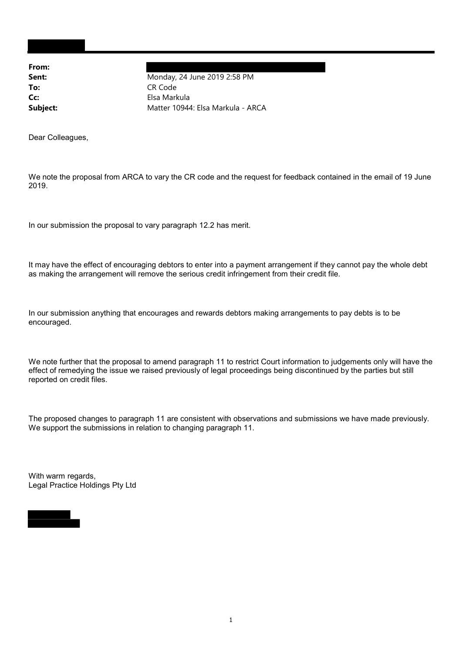From:

Sent: Monday, 24 June 2019 2:58 PM To: CR Code Cc: Elsa Markula Subject: Matter 10944: Elsa Markula - ARCA

Dear Colleagues,

We note the proposal from ARCA to vary the CR code and the request for feedback contained in the email of 19 June 2019.

In our submission the proposal to vary paragraph 12.2 has merit.

It may have the effect of encouraging debtors to enter into a payment arrangement if they cannot pay the whole debt as making the arrangement will remove the serious credit infringement from their credit file.

In our submission anything that encourages and rewards debtors making arrangements to pay debts is to be encouraged.

We note further that the proposal to amend paragraph 11 to restrict Court information to judgements only will have the effect of remedying the issue we raised previously of legal proceedings being discontinued by the parties but still reported on credit files.

The proposed changes to paragraph 11 are consistent with observations and submissions we have made previously. We support the submissions in relation to changing paragraph 11.

With warm regards, Legal Practice Holdings Pty Ltd